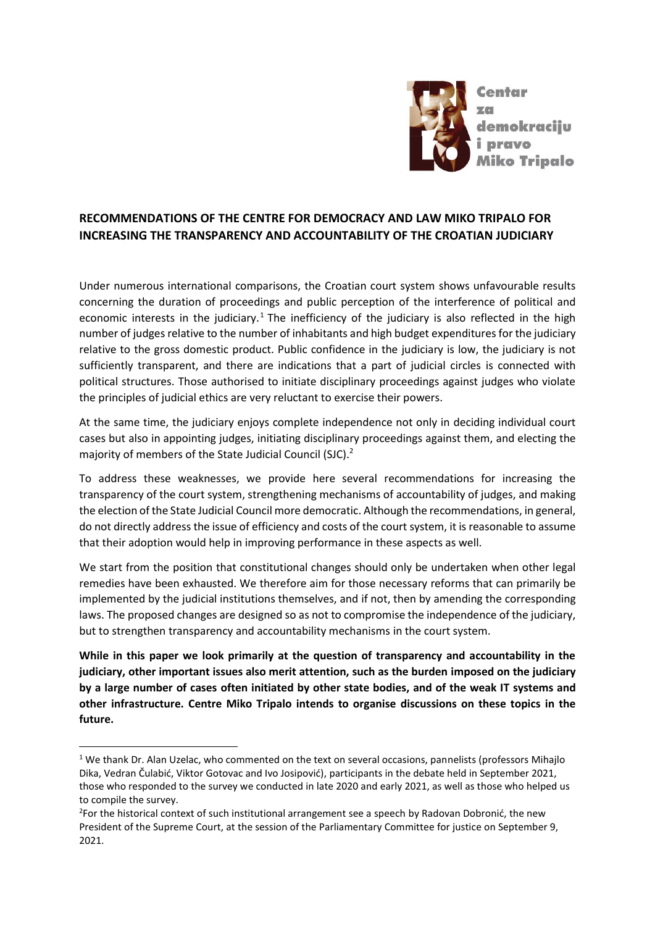

# **RECOMMENDATIONS OF THE CENTRE FOR DEMOCRACY AND LAW MIKO TRIPALO FOR INCREASING THE TRANSPARENCY AND ACCOUNTABILITY OF THE CROATIAN JUDICIARY**

Under numerous international comparisons, the Croatian court system shows unfavourable results concerning the duration of proceedings and public perception of the interference of political and economic interests in the judiciary.<sup>1</sup> The inefficiency of the judiciary is also reflected in the high number of judges relative to the number of inhabitants and high budget expenditures for the judiciary relative to the gross domestic product. Public confidence in the judiciary is low, the judiciary is not sufficiently transparent, and there are indications that a part of judicial circles is connected with political structures. Those authorised to initiate disciplinary proceedings against judges who violate the principles of judicial ethics are very reluctant to exercise their powers.

At the same time, the judiciary enjoys complete independence not only in deciding individual court cases but also in appointing judges, initiating disciplinary proceedings against them, and electing the majority of members of the State Judicial Council (SJC).<sup>2</sup>

To address these weaknesses, we provide here several recommendations for increasing the transparency of the court system, strengthening mechanisms of accountability of judges, and making the election of the State Judicial Council more democratic. Although the recommendations, in general, do not directly address the issue of efficiency and costs of the court system, it is reasonable to assume that their adoption would help in improving performance in these aspects as well.

We start from the position that constitutional changes should only be undertaken when other legal remedies have been exhausted. We therefore aim for those necessary reforms that can primarily be implemented by the judicial institutions themselves, and if not, then by amending the corresponding laws. The proposed changes are designed so as not to compromise the independence of the judiciary, but to strengthen transparency and accountability mechanisms in the court system.

**While in this paper we look primarily at the question of transparency and accountability in the judiciary, other important issues also merit attention, such as the burden imposed on the judiciary by a large number of cases often initiated by other state bodies, and of the weak IT systems and other infrastructure. Centre Miko Tripalo intends to organise discussions on these topics in the future.**

 $\overline{a}$ 

<sup>&</sup>lt;sup>1</sup> We thank Dr. Alan Uzelac, who commented on the text on several occasions, pannelists (professors Mihajlo Dika, Vedran Čulabić, Viktor Gotovac and Ivo Josipović), participants in the debate held in September 2021, those who responded to the survey we conducted in late 2020 and early 2021, as well as those who helped us to compile the survey.

<sup>&</sup>lt;sup>2</sup>For the historical context of such institutional arrangement see a speech by Radovan Dobronić, the new President of the Supreme Court, at the session of the Parliamentary Committee for justice on September 9, 2021.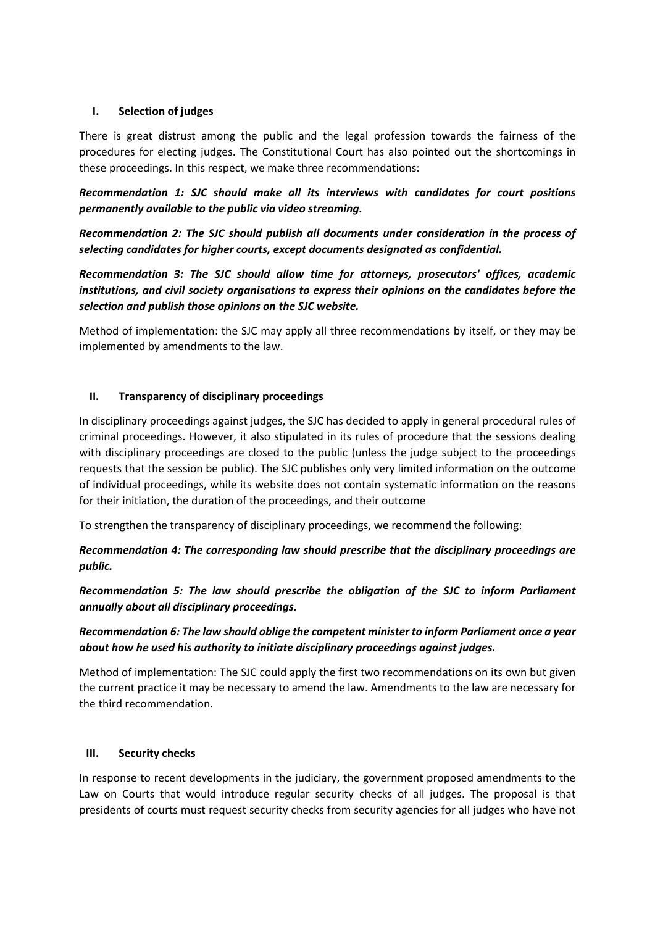#### **I. Selection of judges**

There is great distrust among the public and the legal profession towards the fairness of the procedures for electing judges. The Constitutional Court has also pointed out the shortcomings in these proceedings. In this respect, we make three recommendations:

*Recommendation 1: SJC should make all its interviews with candidates for court positions permanently available to the public via video streaming.*

*Recommendation 2: The SJC should publish all documents under consideration in the process of selecting candidates for higher courts, except documents designated as confidential.*

*Recommendation 3: The SJC should allow time for attorneys, prosecutors' offices, academic institutions, and civil society organisations to express their opinions on the candidates before the selection and publish those opinions on the SJC website.*

Method of implementation: the SJC may apply all three recommendations by itself, or they may be implemented by amendments to the law.

#### **II. Transparency of disciplinary proceedings**

In disciplinary proceedings against judges, the SJC has decided to apply in general procedural rules of criminal proceedings. However, it also stipulated in its rules of procedure that the sessions dealing with disciplinary proceedings are closed to the public (unless the judge subject to the proceedings requests that the session be public). The SJC publishes only very limited information on the outcome of individual proceedings, while its website does not contain systematic information on the reasons for their initiation, the duration of the proceedings, and their outcome

To strengthen the transparency of disciplinary proceedings, we recommend the following:

*Recommendation 4: The corresponding law should prescribe that the disciplinary proceedings are public.*

*Recommendation 5: The law should prescribe the obligation of the SJC to inform Parliament annually about all disciplinary proceedings.*

# *Recommendation 6: The law should oblige the competent minister to inform Parliament once a year about how he used his authority to initiate disciplinary proceedings against judges.*

Method of implementation: The SJC could apply the first two recommendations on its own but given the current practice it may be necessary to amend the law. Amendments to the law are necessary for the third recommendation.

#### **III. Security checks**

In response to recent developments in the judiciary, the government proposed amendments to the Law on Courts that would introduce regular security checks of all judges. The proposal is that presidents of courts must request security checks from security agencies for all judges who have not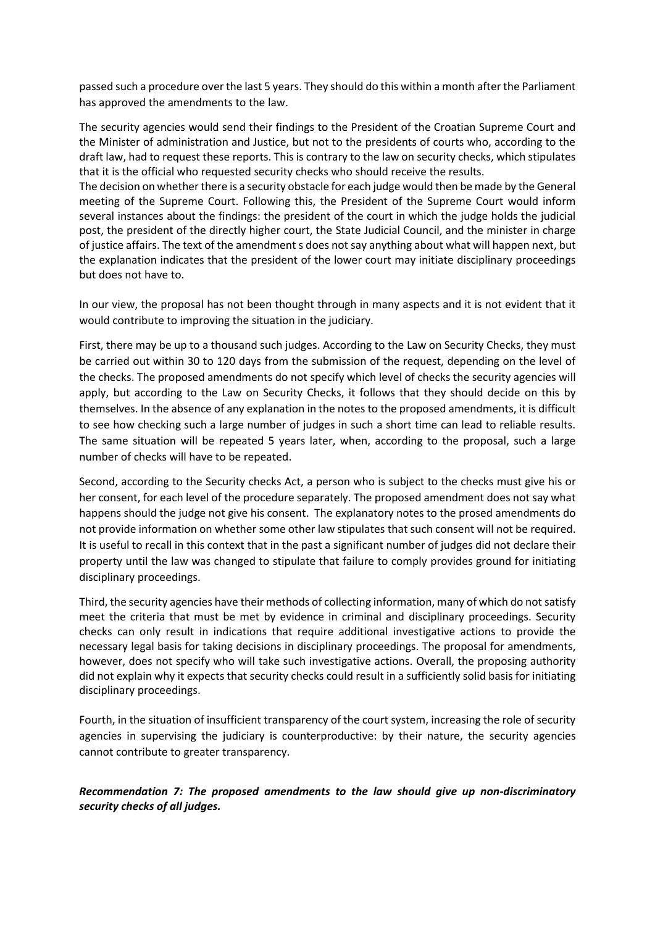passed such a procedure over the last 5 years. They should do this within a month after the Parliament has approved the amendments to the law.

The security agencies would send their findings to the President of the Croatian Supreme Court and the Minister of administration and Justice, but not to the presidents of courts who, according to the draft law, had to request these reports. This is contrary to the law on security checks, which stipulates that it is the official who requested security checks who should receive the results.

The decision on whether there is a security obstacle for each judge would then be made by the General meeting of the Supreme Court. Following this, the President of the Supreme Court would inform several instances about the findings: the president of the court in which the judge holds the judicial post, the president of the directly higher court, the State Judicial Council, and the minister in charge of justice affairs. The text of the amendment s does not say anything about what will happen next, but the explanation indicates that the president of the lower court may initiate disciplinary proceedings but does not have to.

In our view, the proposal has not been thought through in many aspects and it is not evident that it would contribute to improving the situation in the judiciary.

First, there may be up to a thousand such judges. According to the Law on Security Checks, they must be carried out within 30 to 120 days from the submission of the request, depending on the level of the checks. The proposed amendments do not specify which level of checks the security agencies will apply, but according to the Law on Security Checks, it follows that they should decide on this by themselves. In the absence of any explanation in the notes to the proposed amendments, it is difficult to see how checking such a large number of judges in such a short time can lead to reliable results. The same situation will be repeated 5 years later, when, according to the proposal, such a large number of checks will have to be repeated.

Second, according to the Security checks Act, a person who is subject to the checks must give his or her consent, for each level of the procedure separately. The proposed amendment does not say what happens should the judge not give his consent. The explanatory notes to the prosed amendments do not provide information on whether some other law stipulates that such consent will not be required. It is useful to recall in this context that in the past a significant number of judges did not declare their property until the law was changed to stipulate that failure to comply provides ground for initiating disciplinary proceedings.

Third, the security agencies have their methods of collecting information, many of which do not satisfy meet the criteria that must be met by evidence in criminal and disciplinary proceedings. Security checks can only result in indications that require additional investigative actions to provide the necessary legal basis for taking decisions in disciplinary proceedings. The proposal for amendments, however, does not specify who will take such investigative actions. Overall, the proposing authority did not explain why it expects that security checks could result in a sufficiently solid basis for initiating disciplinary proceedings.

Fourth, in the situation of insufficient transparency of the court system, increasing the role of security agencies in supervising the judiciary is counterproductive: by their nature, the security agencies cannot contribute to greater transparency.

*Recommendation 7: The proposed amendments to the law should give up non-discriminatory security checks of all judges.*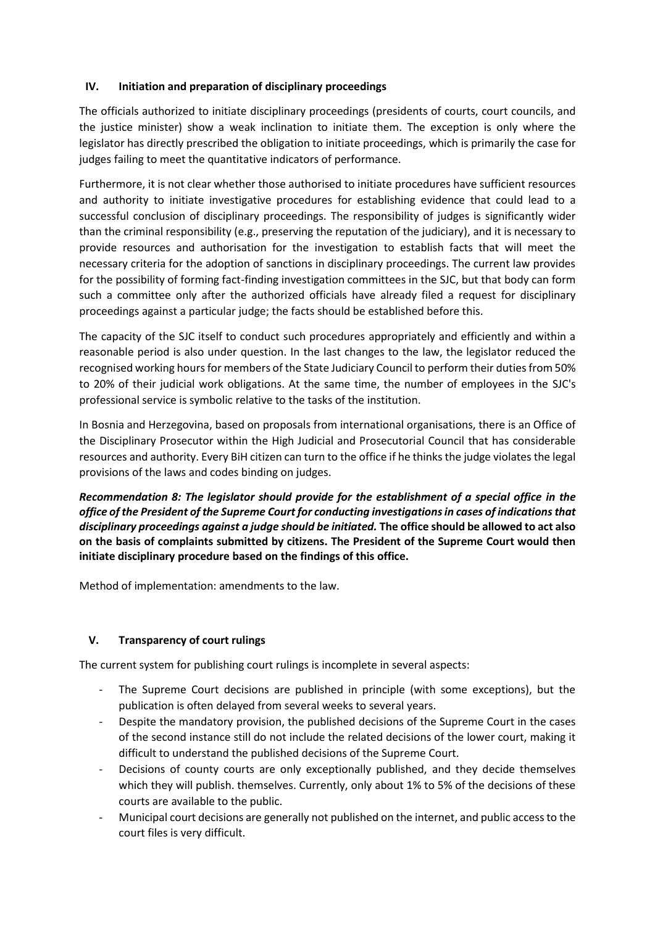## **IV. Initiation and preparation of disciplinary proceedings**

The officials authorized to initiate disciplinary proceedings (presidents of courts, court councils, and the justice minister) show a weak inclination to initiate them. The exception is only where the legislator has directly prescribed the obligation to initiate proceedings, which is primarily the case for judges failing to meet the quantitative indicators of performance.

Furthermore, it is not clear whether those authorised to initiate procedures have sufficient resources and authority to initiate investigative procedures for establishing evidence that could lead to a successful conclusion of disciplinary proceedings. The responsibility of judges is significantly wider than the criminal responsibility (e.g., preserving the reputation of the judiciary), and it is necessary to provide resources and authorisation for the investigation to establish facts that will meet the necessary criteria for the adoption of sanctions in disciplinary proceedings. The current law provides for the possibility of forming fact-finding investigation committees in the SJC, but that body can form such a committee only after the authorized officials have already filed a request for disciplinary proceedings against a particular judge; the facts should be established before this.

The capacity of the SJC itself to conduct such procedures appropriately and efficiently and within a reasonable period is also under question. In the last changes to the law, the legislator reduced the recognised working hours for members of the State Judiciary Council to perform their duties from 50% to 20% of their judicial work obligations. At the same time, the number of employees in the SJC's professional service is symbolic relative to the tasks of the institution.

In Bosnia and Herzegovina, based on proposals from international organisations, there is an Office of the Disciplinary Prosecutor within the High Judicial and Prosecutorial Council that has considerable resources and authority. Every BiH citizen can turn to the office if he thinks the judge violates the legal provisions of the laws and codes binding on judges.

*Recommendation 8: The legislator should provide for the establishment of a special office in the office of the President of the Supreme Court for conducting investigations in cases of indications that disciplinary proceedings against a judge should be initiated.* **The office should be allowed to act also on the basis of complaints submitted by citizens. The President of the Supreme Court would then initiate disciplinary procedure based on the findings of this office.** 

Method of implementation: amendments to the law.

## **V. Transparency of court rulings**

The current system for publishing court rulings is incomplete in several aspects:

- The Supreme Court decisions are published in principle (with some exceptions), but the publication is often delayed from several weeks to several years.
- Despite the mandatory provision, the published decisions of the Supreme Court in the cases of the second instance still do not include the related decisions of the lower court, making it difficult to understand the published decisions of the Supreme Court.
- Decisions of county courts are only exceptionally published, and they decide themselves which they will publish. themselves. Currently, only about 1% to 5% of the decisions of these courts are available to the public.
- Municipal court decisions are generally not published on the internet, and public access to the court files is very difficult.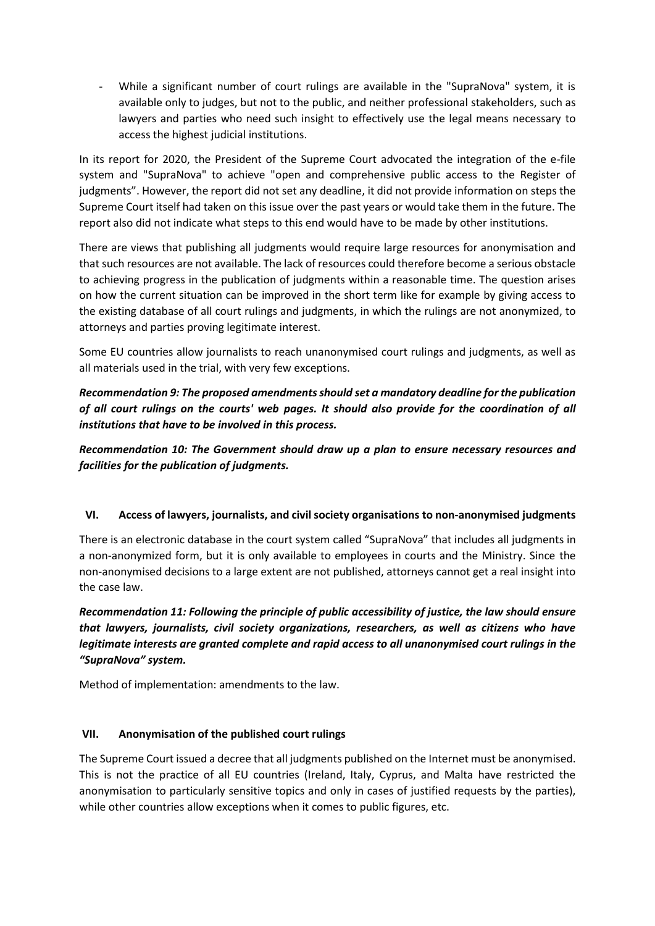While a significant number of court rulings are available in the "SupraNova" system, it is available only to judges, but not to the public, and neither professional stakeholders, such as lawyers and parties who need such insight to effectively use the legal means necessary to access the highest judicial institutions.

In its report for 2020, the President of the Supreme Court advocated the integration of the e-file system and "SupraNova" to achieve "open and comprehensive public access to the Register of judgments". However, the report did not set any deadline, it did not provide information on steps the Supreme Court itself had taken on this issue over the past years or would take them in the future. The report also did not indicate what steps to this end would have to be made by other institutions.

There are views that publishing all judgments would require large resources for anonymisation and that such resources are not available. The lack of resources could therefore become a serious obstacle to achieving progress in the publication of judgments within a reasonable time. The question arises on how the current situation can be improved in the short term like for example by giving access to the existing database of all court rulings and judgments, in which the rulings are not anonymized, to attorneys and parties proving legitimate interest.

Some EU countries allow journalists to reach unanonymised court rulings and judgments, as well as all materials used in the trial, with very few exceptions.

*Recommendation 9: The proposed amendments should set a mandatory deadline for the publication of all court rulings on the courts' web pages. It should also provide for the coordination of all institutions that have to be involved in this process.*

*Recommendation 10: The Government should draw up a plan to ensure necessary resources and facilities for the publication of judgments.*

## **VI. Access of lawyers, journalists, and civil society organisations to non-anonymised judgments**

There is an electronic database in the court system called "SupraNova" that includes all judgments in a non-anonymized form, but it is only available to employees in courts and the Ministry. Since the non-anonymised decisions to a large extent are not published, attorneys cannot get a real insight into the case law.

*Recommendation 11: Following the principle of public accessibility of justice, the law should ensure that lawyers, journalists, civil society organizations, researchers, as well as citizens who have legitimate interests are granted complete and rapid access to all unanonymised court rulings in the "SupraNova" system.*

Method of implementation: amendments to the law.

## **VII. Anonymisation of the published court rulings**

The Supreme Court issued a decree that all judgments published on the Internet must be anonymised. This is not the practice of all EU countries (Ireland, Italy, Cyprus, and Malta have restricted the anonymisation to particularly sensitive topics and only in cases of justified requests by the parties), while other countries allow exceptions when it comes to public figures, etc.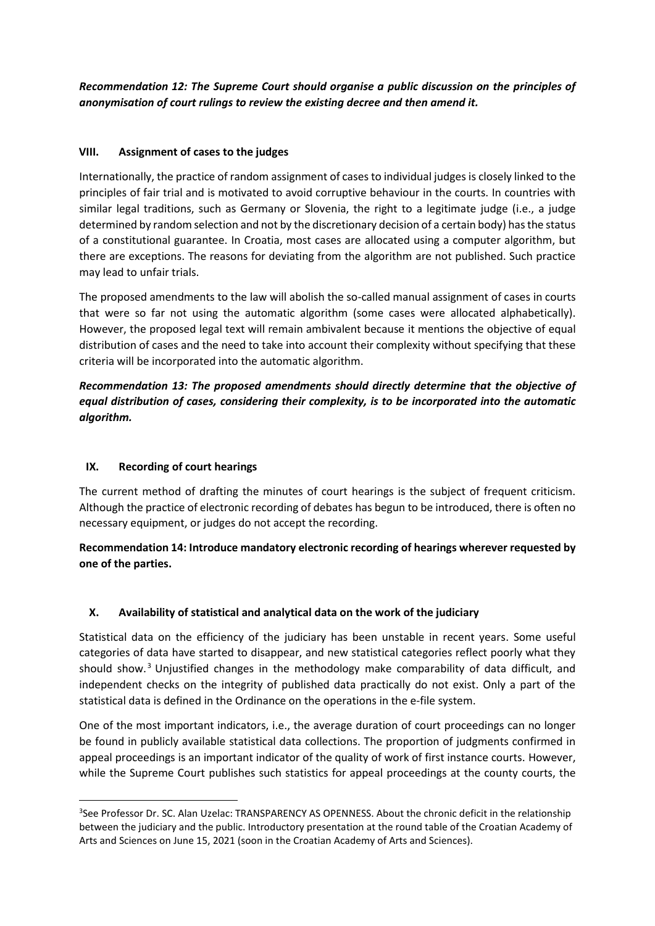*Recommendation 12: The Supreme Court should organise a public discussion on the principles of anonymisation of court rulings to review the existing decree and then amend it.*

## **VIII. Assignment of cases to the judges**

Internationally, the practice of random assignment of cases to individual judges is closely linked to the principles of fair trial and is motivated to avoid corruptive behaviour in the courts. In countries with similar legal traditions, such as Germany or Slovenia, the right to a legitimate judge (i.e., a judge determined by random selection and not by the discretionary decision of a certain body) has the status of a constitutional guarantee. In Croatia, most cases are allocated using a computer algorithm, but there are exceptions. The reasons for deviating from the algorithm are not published. Such practice may lead to unfair trials.

The proposed amendments to the law will abolish the so-called manual assignment of cases in courts that were so far not using the automatic algorithm (some cases were allocated alphabetically). However, the proposed legal text will remain ambivalent because it mentions the objective of equal distribution of cases and the need to take into account their complexity without specifying that these criteria will be incorporated into the automatic algorithm.

*Recommendation 13: The proposed amendments should directly determine that the objective of equal distribution of cases, considering their complexity, is to be incorporated into the automatic algorithm.*

## **IX. Recording of court hearings**

**.** 

The current method of drafting the minutes of court hearings is the subject of frequent criticism. Although the practice of electronic recording of debates has begun to be introduced, there is often no necessary equipment, or judges do not accept the recording.

**Recommendation 14: Introduce mandatory electronic recording of hearings wherever requested by one of the parties.**

## **X. Availability of statistical and analytical data on the work of the judiciary**

Statistical data on the efficiency of the judiciary has been unstable in recent years. Some useful categories of data have started to disappear, and new statistical categories reflect poorly what they should show.<sup>3</sup> Unjustified changes in the methodology make comparability of data difficult, and independent checks on the integrity of published data practically do not exist. Only a part of the statistical data is defined in the Ordinance on the operations in the e-file system.

One of the most important indicators, i.e., the average duration of court proceedings can no longer be found in publicly available statistical data collections. The proportion of judgments confirmed in appeal proceedings is an important indicator of the quality of work of first instance courts. However, while the Supreme Court publishes such statistics for appeal proceedings at the county courts, the

<sup>&</sup>lt;sup>3</sup>See Professor Dr. SC. Alan Uzelac: TRANSPARENCY AS OPENNESS. About the chronic deficit in the relationship between the judiciary and the public. Introductory presentation at the round table of the Croatian Academy of Arts and Sciences on June 15, 2021 (soon in the Croatian Academy of Arts and Sciences).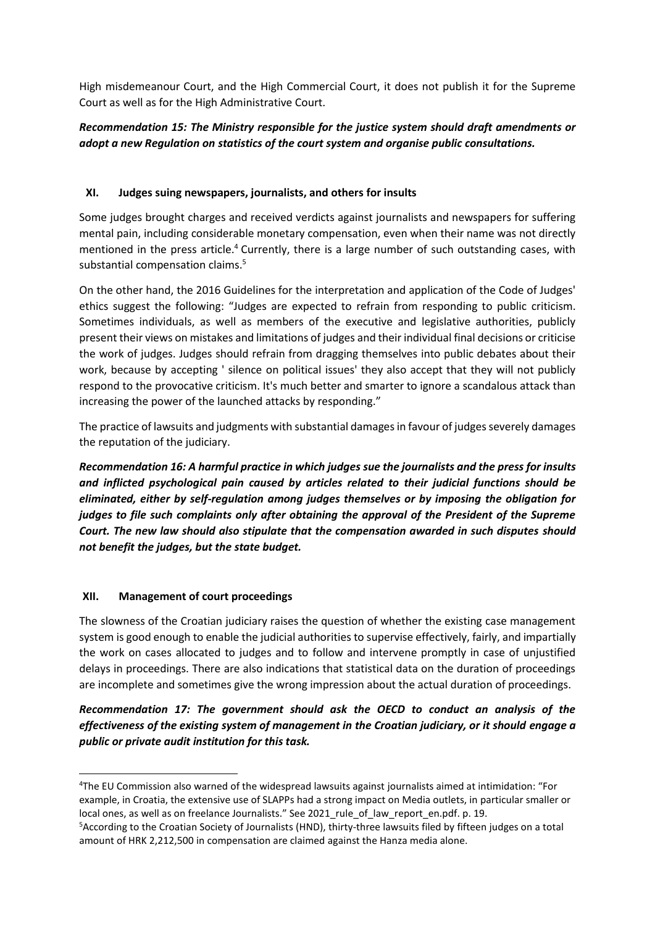High misdemeanour Court, and the High Commercial Court, it does not publish it for the Supreme Court as well as for the High Administrative Court.

# *Recommendation 15: The Ministry responsible for the justice system should draft amendments or adopt a new Regulation on statistics of the court system and organise public consultations.*

# **XI. Judges suing newspapers, journalists, and others for insults**

Some judges brought charges and received verdicts against journalists and newspapers for suffering mental pain, including considerable monetary compensation, even when their name was not directly mentioned in the press article.<sup>4</sup> Currently, there is a large number of such outstanding cases, with substantial compensation claims. 5

On the other hand, the 2016 Guidelines for the interpretation and application of the Code of Judges' ethics suggest the following: "Judges are expected to refrain from responding to public criticism. Sometimes individuals, as well as members of the executive and legislative authorities, publicly present their views on mistakes and limitations of judges and their individual final decisions or criticise the work of judges. Judges should refrain from dragging themselves into public debates about their work, because by accepting ' silence on political issues' they also accept that they will not publicly respond to the provocative criticism. It's much better and smarter to ignore a scandalous attack than increasing the power of the launched attacks by responding."

The practice of lawsuits and judgments with substantial damages in favour of judges severely damages the reputation of the judiciary.

*Recommendation 16: A harmful practice in which judges sue the journalists and the press for insults and inflicted psychological pain caused by articles related to their judicial functions should be eliminated, either by self-regulation among judges themselves or by imposing the obligation for judges to file such complaints only after obtaining the approval of the President of the Supreme Court. The new law should also stipulate that the compensation awarded in such disputes should not benefit the judges, but the state budget.*

## **XII. Management of court proceedings**

 $\overline{a}$ 

The slowness of the Croatian judiciary raises the question of whether the existing case management system is good enough to enable the judicial authorities to supervise effectively, fairly, and impartially the work on cases allocated to judges and to follow and intervene promptly in case of unjustified delays in proceedings. There are also indications that statistical data on the duration of proceedings are incomplete and sometimes give the wrong impression about the actual duration of proceedings.

*Recommendation 17: The government should ask the OECD to conduct an analysis of the effectiveness of the existing system of management in the Croatian judiciary, or it should engage a public or private audit institution for this task.*

<sup>4</sup>The EU Commission also warned of the widespread lawsuits against journalists aimed at intimidation: "For example, in Croatia, the extensive use of SLAPPs had a strong impact on Media outlets, in particular smaller or local ones, as well as on freelance Journalists." See 2021 rule of law report en.pdf. p. 19.

<sup>5</sup>According to the Croatian Society of Journalists (HND), thirty-three lawsuits filed by fifteen judges on a total amount of HRK 2,212,500 in compensation are claimed against the Hanza media alone.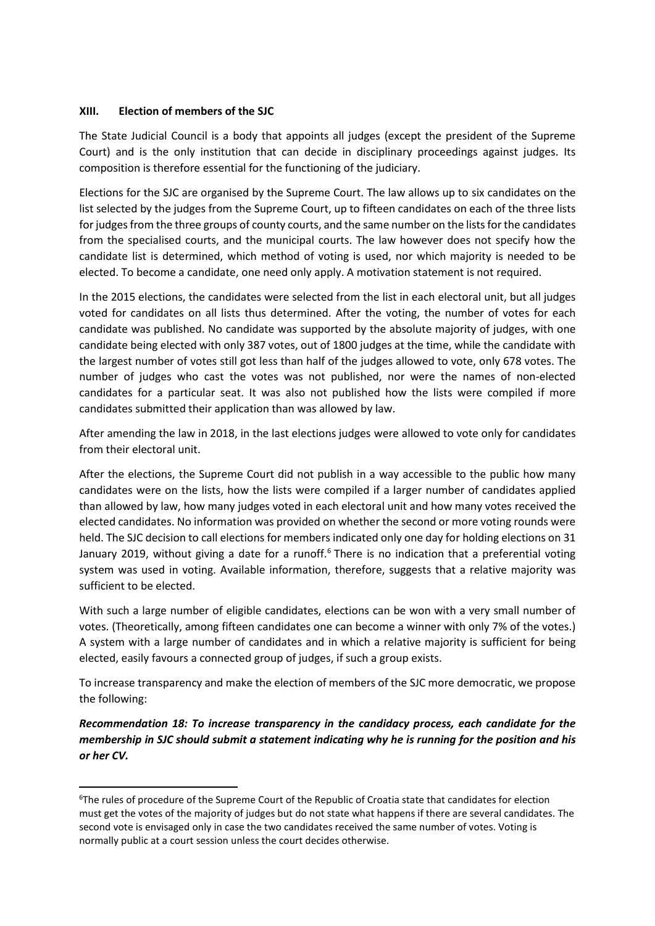#### **XIII. Election of members of the SJC**

**.** 

The State Judicial Council is a body that appoints all judges (except the president of the Supreme Court) and is the only institution that can decide in disciplinary proceedings against judges. Its composition is therefore essential for the functioning of the judiciary.

Elections for the SJC are organised by the Supreme Court. The law allows up to six candidates on the list selected by the judges from the Supreme Court, up to fifteen candidates on each of the three lists for judges from the three groups of county courts, and the same number on the lists for the candidates from the specialised courts, and the municipal courts. The law however does not specify how the candidate list is determined, which method of voting is used, nor which majority is needed to be elected. To become a candidate, one need only apply. A motivation statement is not required.

In the 2015 elections, the candidates were selected from the list in each electoral unit, but all judges voted for candidates on all lists thus determined. After the voting, the number of votes for each candidate was published. No candidate was supported by the absolute majority of judges, with one candidate being elected with only 387 votes, out of 1800 judges at the time, while the candidate with the largest number of votes still got less than half of the judges allowed to vote, only 678 votes. The number of judges who cast the votes was not published, nor were the names of non-elected candidates for a particular seat. It was also not published how the lists were compiled if more candidates submitted their application than was allowed by law.

After amending the law in 2018, in the last elections judges were allowed to vote only for candidates from their electoral unit.

After the elections, the Supreme Court did not publish in a way accessible to the public how many candidates were on the lists, how the lists were compiled if a larger number of candidates applied than allowed by law, how many judges voted in each electoral unit and how many votes received the elected candidates. No information was provided on whether the second or more voting rounds were held. The SJC decision to call elections for members indicated only one day for holding elections on 31 January 2019, without giving a date for a runoff.<sup>6</sup> There is no indication that a preferential voting system was used in voting. Available information, therefore, suggests that a relative majority was sufficient to be elected.

With such a large number of eligible candidates, elections can be won with a very small number of votes. (Theoretically, among fifteen candidates one can become a winner with only 7% of the votes.) A system with a large number of candidates and in which a relative majority is sufficient for being elected, easily favours a connected group of judges, if such a group exists.

To increase transparency and make the election of members of the SJC more democratic, we propose the following:

*Recommendation 18: To increase transparency in the candidacy process, each candidate for the membership in SJC should submit a statement indicating why he is running for the position and his or her CV.* 

<sup>6</sup>The rules of procedure of the Supreme Court of the Republic of Croatia state that candidates for election must get the votes of the majority of judges but do not state what happens if there are several candidates. The second vote is envisaged only in case the two candidates received the same number of votes. Voting is normally public at a court session unless the court decides otherwise.